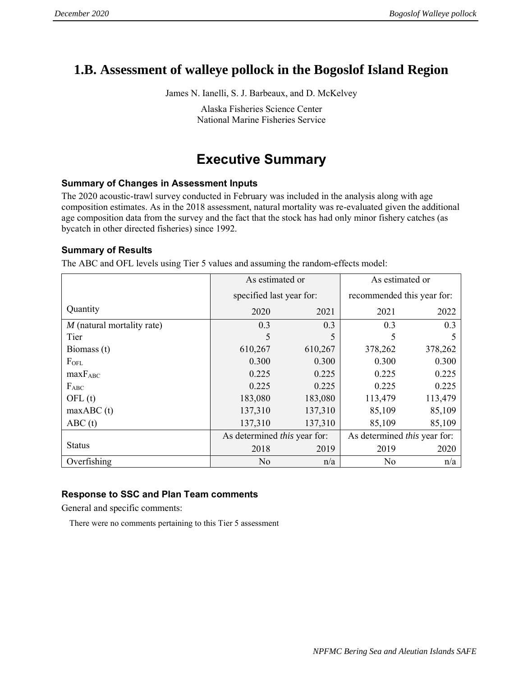## **1.B. Assessment of walleye pollock in the Bogoslof Island Region**

James N. Ianelli, S. J. Barbeaux, and D. McKelvey

Alaska Fisheries Science Center National Marine Fisheries Service

# **Executive Summary**

#### **Summary of Changes in Assessment Inputs**

The 2020 acoustic-trawl survey conducted in February was included in the analysis along with age composition estimates. As in the 2018 assessment, natural mortality was re-evaluated given the additional age composition data from the survey and the fact that the stock has had only minor fishery catches (as bycatch in other directed fisheries) since 1992.

#### **Summary of Results**

The ABC and OFL levels using Tier 5 values and assuming the random-effects model:

|                              | As estimated or                     |                | As estimated or                     |         |  |
|------------------------------|-------------------------------------|----------------|-------------------------------------|---------|--|
|                              | specified last year for:            |                | recommended this year for:          |         |  |
| Quantity                     | 2020                                | 2021           | 2021                                | 2022    |  |
| $M$ (natural mortality rate) | 0.3                                 | 0.3            | 0.3                                 | 0.3     |  |
| Tier                         | 5                                   | 5              | 5                                   |         |  |
| Biomass (t)                  | 610,267                             | 610,267        | 378,262                             | 378,262 |  |
| FOFL                         | 0.300                               | 0.300          | 0.300                               | 0.300   |  |
| $maxF_{ABC}$                 | 0.225                               | 0.225          | 0.225                               | 0.225   |  |
| $F_{ABC}$                    | 0.225                               | 0.225          | 0.225                               | 0.225   |  |
| OFL(t)                       | 183,080                             | 183,080        | 113,479                             | 113,479 |  |
| maxABC(t)                    | 137,310                             | 137,310        | 85,109                              | 85,109  |  |
| ABC(t)                       | 137,310                             | 137,310        | 85,109                              | 85,109  |  |
|                              | As determined <i>this</i> year for: |                | As determined <i>this</i> year for: |         |  |
| <b>Status</b>                | 2018                                | 2019           | 2019                                | 2020    |  |
| Overfishing                  | N <sub>o</sub>                      | N <sub>o</sub> | n/a                                 |         |  |

#### **Response to SSC and Plan Team comments**

General and specific comments:

There were no comments pertaining to this Tier 5 assessment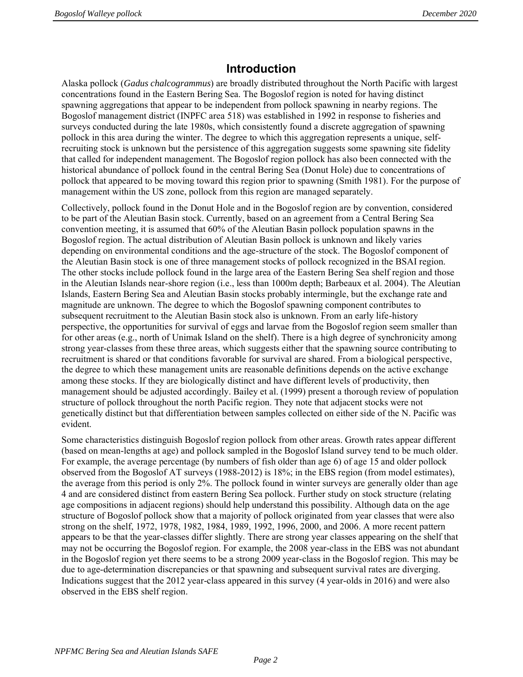## **Introduction**

Alaska pollock (*Gadus chalcogrammus*) are broadly distributed throughout the North Pacific with largest concentrations found in the Eastern Bering Sea. The Bogoslof region is noted for having distinct spawning aggregations that appear to be independent from pollock spawning in nearby regions. The Bogoslof management district (INPFC area 518) was established in 1992 in response to fisheries and surveys conducted during the late 1980s, which consistently found a discrete aggregation of spawning pollock in this area during the winter. The degree to which this aggregation represents a unique, selfrecruiting stock is unknown but the persistence of this aggregation suggests some spawning site fidelity that called for independent management. The Bogoslof region pollock has also been connected with the historical abundance of pollock found in the central Bering Sea (Donut Hole) due to concentrations of pollock that appeared to be moving toward this region prior to spawning (Smith 1981). For the purpose of management within the US zone, pollock from this region are managed separately.

Collectively, pollock found in the Donut Hole and in the Bogoslof region are by convention, considered to be part of the Aleutian Basin stock. Currently, based on an agreement from a Central Bering Sea convention meeting, it is assumed that 60% of the Aleutian Basin pollock population spawns in the Bogoslof region. The actual distribution of Aleutian Basin pollock is unknown and likely varies depending on environmental conditions and the age-structure of the stock. The Bogoslof component of the Aleutian Basin stock is one of three management stocks of pollock recognized in the BSAI region. The other stocks include pollock found in the large area of the Eastern Bering Sea shelf region and those in the Aleutian Islands near-shore region (i.e., less than 1000m depth; Barbeaux et al. 2004). The Aleutian Islands, Eastern Bering Sea and Aleutian Basin stocks probably intermingle, but the exchange rate and magnitude are unknown. The degree to which the Bogoslof spawning component contributes to subsequent recruitment to the Aleutian Basin stock also is unknown. From an early life-history perspective, the opportunities for survival of eggs and larvae from the Bogoslof region seem smaller than for other areas (e.g., north of Unimak Island on the shelf). There is a high degree of synchronicity among strong year-classes from these three areas, which suggests either that the spawning source contributing to recruitment is shared or that conditions favorable for survival are shared. From a biological perspective, the degree to which these management units are reasonable definitions depends on the active exchange among these stocks. If they are biologically distinct and have different levels of productivity, then management should be adjusted accordingly. Bailey et al. (1999) present a thorough review of population structure of pollock throughout the north Pacific region. They note that adjacent stocks were not genetically distinct but that differentiation between samples collected on either side of the N. Pacific was evident.

Some characteristics distinguish Bogoslof region pollock from other areas. Growth rates appear different (based on mean-lengths at age) and pollock sampled in the Bogoslof Island survey tend to be much older. For example, the average percentage (by numbers of fish older than age 6) of age 15 and older pollock observed from the Bogoslof AT surveys (1988-2012) is 18%; in the EBS region (from model estimates), the average from this period is only 2%. The pollock found in winter surveys are generally older than age 4 and are considered distinct from eastern Bering Sea pollock. Further study on stock structure (relating age compositions in adjacent regions) should help understand this possibility. Although data on the age structure of Bogoslof pollock show that a majority of pollock originated from year classes that were also strong on the shelf, 1972, 1978, 1982, 1984, 1989, 1992, 1996, 2000, and 2006. A more recent pattern appears to be that the year-classes differ slightly. There are strong year classes appearing on the shelf that may not be occurring the Bogoslof region. For example, the 2008 year-class in the EBS was not abundant in the Bogoslof region yet there seems to be a strong 2009 year-class in the Bogoslof region. This may be due to age-determination discrepancies or that spawning and subsequent survival rates are diverging. Indications suggest that the 2012 year-class appeared in this survey (4 year-olds in 2016) and were also observed in the EBS shelf region.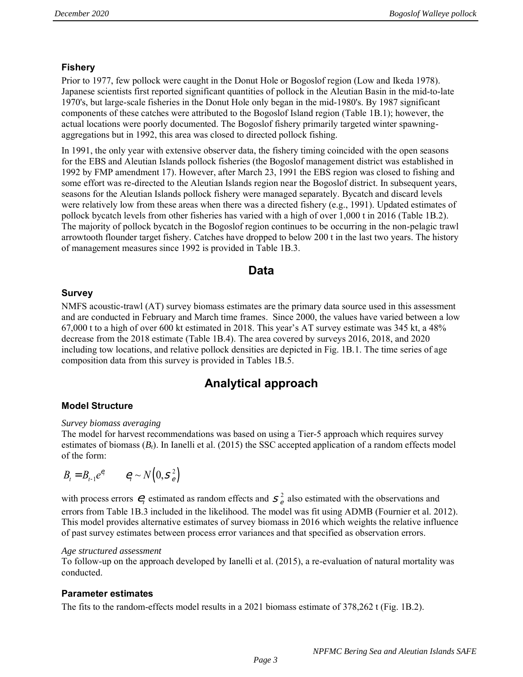#### **Fishery**

Prior to 1977, few pollock were caught in the Donut Hole or Bogoslof region (Low and Ikeda 1978). Japanese scientists first reported significant quantities of pollock in the Aleutian Basin in the mid-to-late 1970's, but large-scale fisheries in the Donut Hole only began in the mid-1980's. By 1987 significant components of these catches were attributed to the Bogoslof Island region (Table 1B.1); however, the actual locations were poorly documented. The Bogoslof fishery primarily targeted winter spawningaggregations but in 1992, this area was closed to directed pollock fishing.

In 1991, the only year with extensive observer data, the fishery timing coincided with the open seasons for the EBS and Aleutian Islands pollock fisheries (the Bogoslof management district was established in 1992 by FMP amendment 17). However, after March 23, 1991 the EBS region was closed to fishing and some effort was re-directed to the Aleutian Islands region near the Bogoslof district. In subsequent years, seasons for the Aleutian Islands pollock fishery were managed separately. Bycatch and discard levels were relatively low from these areas when there was a directed fishery (e.g., 1991). Updated estimates of pollock bycatch levels from other fisheries has varied with a high of over 1,000 t in 2016 (Table 1B.2). The majority of pollock bycatch in the Bogoslof region continues to be occurring in the non-pelagic trawl arrowtooth flounder target fishery. Catches have dropped to below 200 t in the last two years. The history of management measures since 1992 is provided in Table 1B.3.

### **Data**

#### **Survey**

NMFS acoustic-trawl (AT) survey biomass estimates are the primary data source used in this assessment and are conducted in February and March time frames. Since 2000, the values have varied between a low 67,000 t to a high of over 600 kt estimated in 2018. This year's AT survey estimate was 345 kt, a 48% decrease from the 2018 estimate (Table 1B.4). The area covered by surveys 2016, 2018, and 2020 including tow locations, and relative pollock densities are depicted in Fig. 1B.1. The time series of age composition data from this survey is provided in Tables 1B.5.

### **Analytical approach**

#### **Model Structure**

#### *Survey biomass averaging*

The model for harvest recommendations was based on using a Tier-5 approach which requires survey estimates of biomass (*Bt*). In Ianelli et al. (2015) the SSC accepted application of a random effects model of the form:

$$
B_t = B_{t-1} e^{e_t} \qquad e_t \sim N\left(0, S_e^2\right)
$$

with process errors  $e_t$  estimated as random effects and  $s_e^2$  also estimated with the observations and errors from Table 1B.3 included in the likelihood. The model was fit using ADMB (Fournier et al. 2012). This model provides alternative estimates of survey biomass in 2016 which weights the relative influence of past survey estimates between process error variances and that specified as observation errors.

#### *Age structured assessment*

To follow-up on the approach developed by Ianelli et al. (2015), a re-evaluation of natural mortality was conducted.

#### **Parameter estimates**

The fits to the random-effects model results in a 2021 biomass estimate of 378,262 t (Fig. 1B.2).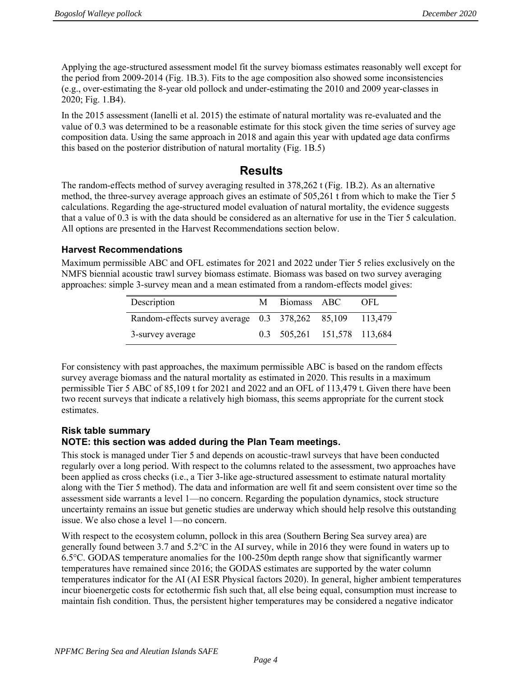Applying the age-structured assessment model fit the survey biomass estimates reasonably well except for the period from 2009-2014 (Fig. 1B.3). Fits to the age composition also showed some inconsistencies (e.g., over-estimating the 8-year old pollock and under-estimating the 2010 and 2009 year-classes in 2020; Fig. 1.B4).

In the 2015 assessment (Ianelli et al. 2015) the estimate of natural mortality was re-evaluated and the value of 0.3 was determined to be a reasonable estimate for this stock given the time series of survey age composition data. Using the same approach in 2018 and again this year with updated age data confirms this based on the posterior distribution of natural mortality (Fig. 1B.5)

### **Results**

The random-effects method of survey averaging resulted in 378,262 t (Fig. 1B.2). As an alternative method, the three-survey average approach gives an estimate of 505,261 t from which to make the Tier 5 calculations. Regarding the age-structured model evaluation of natural mortality, the evidence suggests that a value of 0.3 is with the data should be considered as an alternative for use in the Tier 5 calculation. All options are presented in the Harvest Recommendations section below.

#### **Harvest Recommendations**

Maximum permissible ABC and OFL estimates for 2021 and 2022 under Tier 5 relies exclusively on the NMFS biennial acoustic trawl survey biomass estimate. Biomass was based on two survey averaging approaches: simple 3-survey mean and a mean estimated from a random-effects model gives:

| Description                                              | M Biomass ABC               | OFL. |
|----------------------------------------------------------|-----------------------------|------|
| Random-effects survey average 0.3 378,262 85,109 113,479 |                             |      |
| 3-survey average                                         | 0.3 505,261 151,578 113,684 |      |

For consistency with past approaches, the maximum permissible ABC is based on the random effects survey average biomass and the natural mortality as estimated in 2020. This results in a maximum permissible Tier 5 ABC of 85,109 t for 2021 and 2022 and an OFL of 113,479 t. Given there have been two recent surveys that indicate a relatively high biomass, this seems appropriate for the current stock estimates.

#### **Risk table summary NOTE: this section was added during the Plan Team meetings.**

This stock is managed under Tier 5 and depends on acoustic-trawl surveys that have been conducted regularly over a long period. With respect to the columns related to the assessment, two approaches have been applied as cross checks (i.e., a Tier 3-like age-structured assessment to estimate natural mortality along with the Tier 5 method). The data and information are well fit and seem consistent over time so the assessment side warrants a level 1—no concern. Regarding the population dynamics, stock structure uncertainty remains an issue but genetic studies are underway which should help resolve this outstanding issue. We also chose a level 1—no concern.

With respect to the ecosystem column, pollock in this area (Southern Bering Sea survey area) are generally found between 3.7 and 5.2°C in the AI survey, while in 2016 they were found in waters up to 6.5°C. GODAS temperature anomalies for the 100-250m depth range show that significantly warmer temperatures have remained since 2016; the GODAS estimates are supported by the water column temperatures indicator for the AI (AI ESR Physical factors 2020). In general, higher ambient temperatures incur bioenergetic costs for ectothermic fish such that, all else being equal, consumption must increase to maintain fish condition. Thus, the persistent higher temperatures may be considered a negative indicator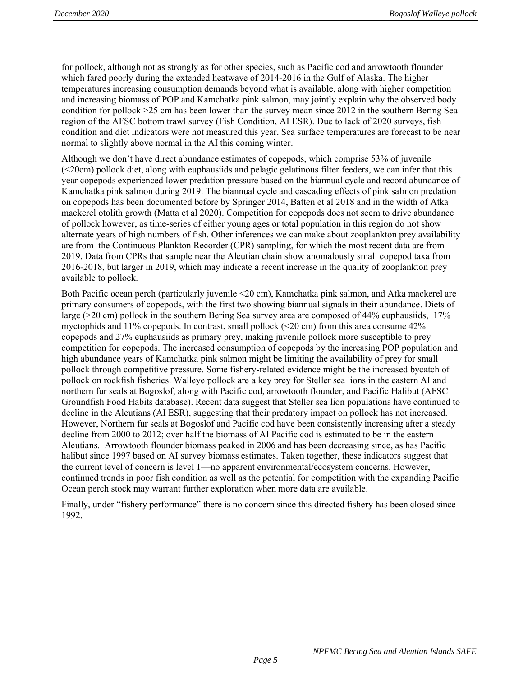for pollock, although not as strongly as for other species, such as Pacific cod and arrowtooth flounder which fared poorly during the extended heatwave of 2014-2016 in the Gulf of Alaska. The higher temperatures increasing consumption demands beyond what is available, along with higher competition and increasing biomass of POP and Kamchatka pink salmon, may jointly explain why the observed body condition for pollock >25 cm has been lower than the survey mean since 2012 in the southern Bering Sea region of the AFSC bottom trawl survey (Fish Condition, AI ESR). Due to lack of 2020 surveys, fish condition and diet indicators were not measured this year. Sea surface temperatures are forecast to be near normal to slightly above normal in the AI this coming winter.

Although we don't have direct abundance estimates of copepods, which comprise 53% of juvenile (<20cm) pollock diet, along with euphausiids and pelagic gelatinous filter feeders, we can infer that this year copepods experienced lower predation pressure based on the biannual cycle and record abundance of Kamchatka pink salmon during 2019. The biannual cycle and cascading effects of pink salmon predation on copepods has been documented before by Springer 2014, Batten et al 2018 and in the width of Atka mackerel otolith growth (Matta et al 2020). Competition for copepods does not seem to drive abundance of pollock however, as time-series of either young ages or total population in this region do not show alternate years of high numbers of fish. Other inferences we can make about zooplankton prey availability are from the Continuous Plankton Recorder (CPR) sampling, for which the most recent data are from 2019. Data from CPRs that sample near the Aleutian chain show anomalously small copepod taxa from 2016-2018, but larger in 2019, which may indicate a recent increase in the quality of zooplankton prey available to pollock.

Both Pacific ocean perch (particularly juvenile <20 cm), Kamchatka pink salmon, and Atka mackerel are primary consumers of copepods, with the first two showing biannual signals in their abundance. Diets of large (>20 cm) pollock in the southern Bering Sea survey area are composed of 44% euphausiids, 17% myctophids and 11% copepods. In contrast, small pollock (<20 cm) from this area consume 42% copepods and 27% euphausiids as primary prey, making juvenile pollock more susceptible to prey competition for copepods. The increased consumption of copepods by the increasing POP population and high abundance years of Kamchatka pink salmon might be limiting the availability of prey for small pollock through competitive pressure. Some fishery-related evidence might be the increased bycatch of pollock on rockfish fisheries. Walleye pollock are a key prey for Steller sea lions in the eastern AI and northern fur seals at Bogoslof, along with Pacific cod, arrowtooth flounder, and Pacific Halibut (AFSC Groundfish Food Habits database). Recent data suggest that Steller sea lion populations have continued to decline in the Aleutians (AI ESR), suggesting that their predatory impact on pollock has not increased. However, Northern fur seals at Bogoslof and Pacific cod have been consistently increasing after a steady decline from 2000 to 2012; over half the biomass of AI Pacific cod is estimated to be in the eastern Aleutians. Arrowtooth flounder biomass peaked in 2006 and has been decreasing since, as has Pacific halibut since 1997 based on AI survey biomass estimates. Taken together, these indicators suggest that the current level of concern is level 1—no apparent environmental/ecosystem concerns. However, continued trends in poor fish condition as well as the potential for competition with the expanding Pacific Ocean perch stock may warrant further exploration when more data are available.

Finally, under "fishery performance" there is no concern since this directed fishery has been closed since 1992.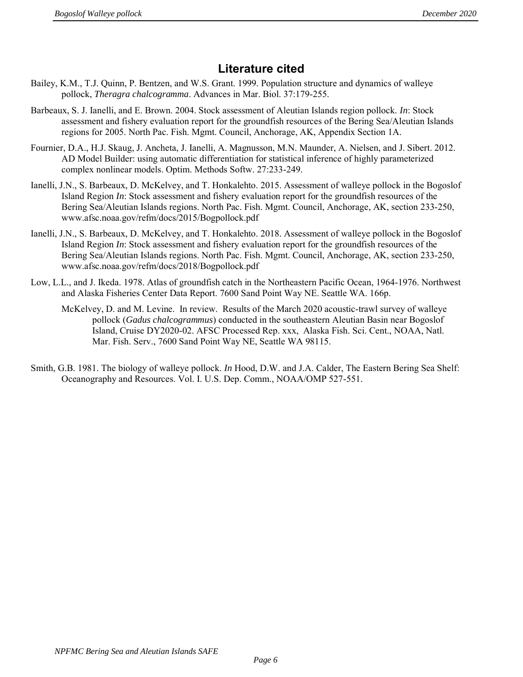## **Literature cited**

- Bailey, K.M., T.J. Quinn, P. Bentzen, and W.S. Grant. 1999. Population structure and dynamics of walleye pollock, *Theragra chalcogramma*. Advances in Mar. Biol. 37:179-255.
- Barbeaux, S. J. Ianelli, and E. Brown. 2004. Stock assessment of Aleutian Islands region pollock. *In*: Stock assessment and fishery evaluation report for the groundfish resources of the Bering Sea/Aleutian Islands regions for 2005. North Pac. Fish. Mgmt. Council, Anchorage, AK, Appendix Section 1A.
- Fournier, D.A., H.J. Skaug, J. Ancheta, J. Ianelli, A. Magnusson, M.N. Maunder, A. Nielsen, and J. Sibert. 2012. AD Model Builder: using automatic differentiation for statistical inference of highly parameterized complex nonlinear models. Optim. Methods Softw. 27:233-249.
- Ianelli, J.N., S. Barbeaux, D. McKelvey, and T. Honkalehto. 2015. Assessment of walleye pollock in the Bogoslof Island Region *In*: Stock assessment and fishery evaluation report for the groundfish resources of the Bering Sea/Aleutian Islands regions. North Pac. Fish. Mgmt. Council, Anchorage, AK, section 233-250, www.afsc.noaa.gov/refm/docs/2015/Bogpollock.pdf
- Ianelli, J.N., S. Barbeaux, D. McKelvey, and T. Honkalehto. 2018. Assessment of walleye pollock in the Bogoslof Island Region *In*: Stock assessment and fishery evaluation report for the groundfish resources of the Bering Sea/Aleutian Islands regions. North Pac. Fish. Mgmt. Council, Anchorage, AK, section 233-250, www.afsc.noaa.gov/refm/docs/2018/Bogpollock.pdf
- Low, L.L., and J. Ikeda. 1978. Atlas of groundfish catch in the Northeastern Pacific Ocean, 1964-1976. Northwest and Alaska Fisheries Center Data Report. 7600 Sand Point Way NE. Seattle WA. 166p.
	- McKelvey, D. and M. Levine. In review. Results of the March 2020 acoustic-trawl survey of walleye pollock (*Gadus chalcogrammus*) conducted in the southeastern Aleutian Basin near Bogoslof Island, Cruise DY2020-02. AFSC Processed Rep. xxx, Alaska Fish. Sci. Cent., NOAA, Natl. Mar. Fish. Serv., 7600 Sand Point Way NE, Seattle WA 98115.
- Smith, G.B. 1981. The biology of walleye pollock. *In* Hood, D.W. and J.A. Calder, The Eastern Bering Sea Shelf: Oceanography and Resources. Vol. I. U.S. Dep. Comm., NOAA/OMP 527-551.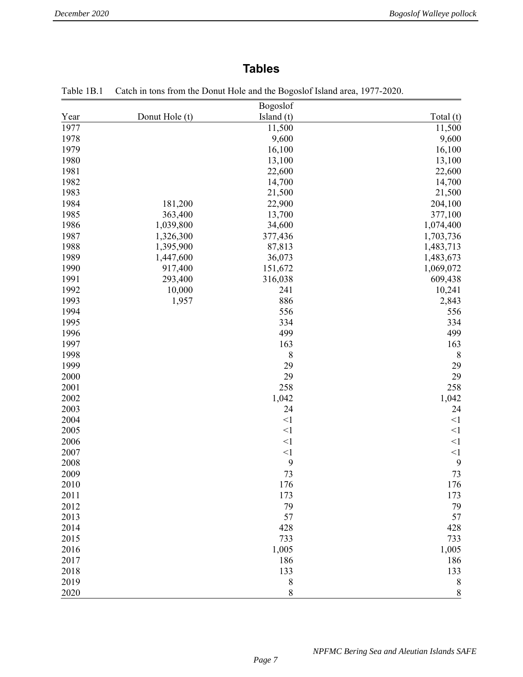# **Tables**

|      |                | Bogoslof   |           |
|------|----------------|------------|-----------|
| Year | Donut Hole (t) | Island (t) | Total (t) |
| 1977 |                | 11,500     | 11,500    |
| 1978 |                | 9,600      | 9,600     |
| 1979 |                | 16,100     | 16,100    |
| 1980 |                | 13,100     | 13,100    |
| 1981 |                | 22,600     | 22,600    |
| 1982 |                | 14,700     | 14,700    |
| 1983 |                | 21,500     | 21,500    |
| 1984 | 181,200        | 22,900     | 204,100   |
| 1985 | 363,400        | 13,700     | 377,100   |
| 1986 | 1,039,800      | 34,600     | 1,074,400 |
| 1987 | 1,326,300      | 377,436    | 1,703,736 |
| 1988 | 1,395,900      | 87,813     | 1,483,713 |
| 1989 | 1,447,600      | 36,073     | 1,483,673 |
| 1990 | 917,400        | 151,672    | 1,069,072 |
| 1991 | 293,400        | 316,038    | 609,438   |
| 1992 | 10,000         | 241        | 10,241    |
| 1993 | 1,957          | 886        | 2,843     |
| 1994 |                | 556        | 556       |
| 1995 |                | 334        | 334       |
| 1996 |                | 499        | 499       |
| 1997 |                | 163        | 163       |
| 1998 |                | 8          | 8         |
| 1999 |                | 29         | 29        |
| 2000 |                | 29         | 29        |
| 2001 |                | 258        | 258       |
| 2002 |                | 1,042      | 1,042     |
| 2003 |                | 24         | 24        |
| 2004 |                | $<$ 1      | <1        |
| 2005 |                | $<$ 1      | <1        |
| 2006 |                | $<$ 1      | <1        |
| 2007 |                | $<$ 1      | $<$ 1     |
| 2008 |                | 9          | 9         |
| 2009 |                | 73         | 73        |
| 2010 |                | 176        | 176       |
| 2011 |                | 173        | 173       |
| 2012 |                | 79         | 79        |
| 2013 |                | 57         | 57        |
| 2014 |                | 428        | 428       |
| 2015 |                | 733        | 733       |
| 2016 |                | 1,005      | 1,005     |
| 2017 |                | 186        | 186       |
| 2018 |                | 133        | 133       |
| 2019 |                | $\,$ $\,$  | 8         |
| 2020 |                | 8          | 8         |

|  | Table 1B.1 Catch in tons from the Donut Hole and the Bogoslof Island area, 1977-2020. |  |
|--|---------------------------------------------------------------------------------------|--|
|--|---------------------------------------------------------------------------------------|--|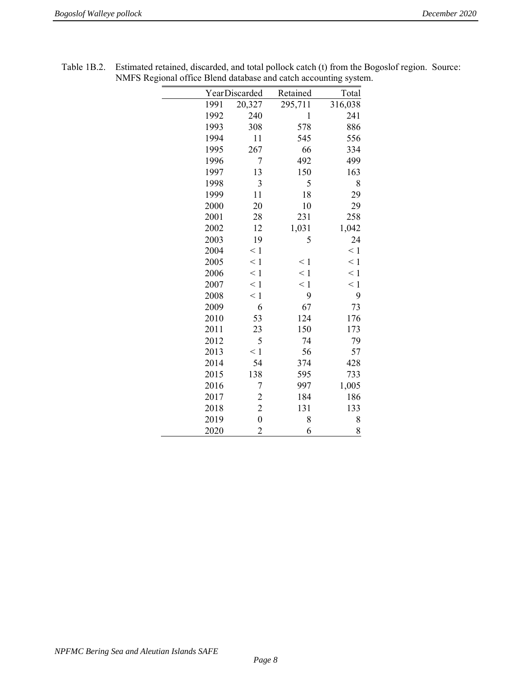|      |                  |          | ╯        |
|------|------------------|----------|----------|
|      | YearDiscarded    | Retained | Total    |
| 1991 | 20,327           | 295,711  | 316,038  |
| 1992 | 240              | 1        | 241      |
| 1993 | 308              | 578      | 886      |
| 1994 | 11               | 545      | 556      |
| 1995 | 267              | 66       | 334      |
| 1996 | 7                | 492      | 499      |
| 1997 | 13               | 150      | 163      |
| 1998 | 3                | 5        | 8        |
| 1999 | 11               | 18       | 29       |
| 2000 | 20               | 10       | 29       |
| 2001 | 28               | 231      | 258      |
| 2002 | 12               | 1,031    | 1,042    |
| 2003 | 19               | 5        | 24       |
| 2004 | $\leq 1$         |          | $\leq 1$ |
| 2005 | $\leq 1$         | $\leq 1$ | $\leq 1$ |
| 2006 | $\leq 1$         | $\leq 1$ | $\leq 1$ |
| 2007 | $\leq 1$         | $\leq 1$ | $\leq 1$ |
| 2008 | $\leq 1$         | 9        | 9        |
| 2009 | 6                | 67       | 73       |
| 2010 | 53               | 124      | 176      |
| 2011 | 23               | 150      | 173      |
| 2012 | 5                | 74       | 79       |
| 2013 | $\leq 1$         | 56       | 57       |
| 2014 | 54               | 374      | 428      |
| 2015 | 138              | 595      | 733      |
| 2016 | 7                | 997      | 1,005    |
| 2017 | $\overline{c}$   | 184      | 186      |
| 2018 | $\overline{c}$   | 131      | 133      |
| 2019 | $\boldsymbol{0}$ | 8        | 8        |
| 2020 | $\overline{2}$   | 6        | 8        |

| Table 1B.2. Estimated retained, discarded, and total pollock catch (t) from the Bogoslof region. Source: |  |
|----------------------------------------------------------------------------------------------------------|--|
| NMFS Regional office Blend database and catch accounting system.                                         |  |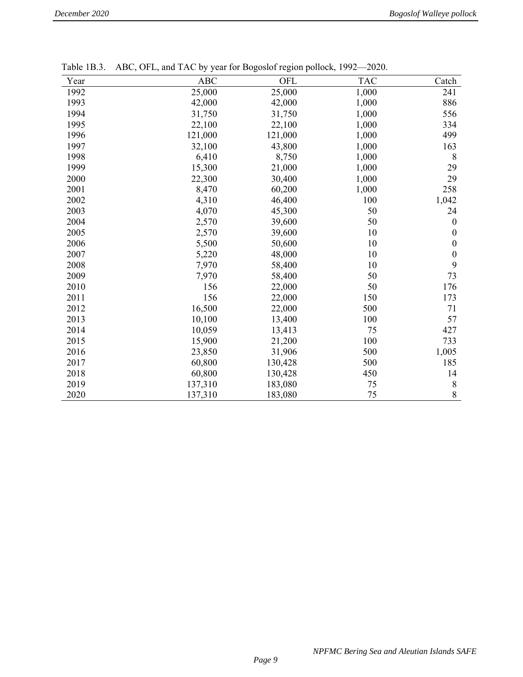| $1$ ave $1$ D.J. | $ADC$ , OFL, and TAC by year for Dogosion region pollock, $1992 - 2020$ . |         |            |                  |
|------------------|---------------------------------------------------------------------------|---------|------------|------------------|
| Year             | ABC                                                                       | OFL     | <b>TAC</b> | Catch            |
| 1992             | 25,000                                                                    | 25,000  | 1,000      | 241              |
| 1993             | 42,000                                                                    | 42,000  | 1,000      | 886              |
| 1994             | 31,750                                                                    | 31,750  | 1,000      | 556              |
| 1995             | 22,100                                                                    | 22,100  | 1,000      | 334              |
| 1996             | 121,000                                                                   | 121,000 | 1,000      | 499              |
| 1997             | 32,100                                                                    | 43,800  | 1,000      | 163              |
| 1998             | 6,410                                                                     | 8,750   | 1,000      | 8                |
| 1999             | 15,300                                                                    | 21,000  | 1,000      | 29               |
| 2000             | 22,300                                                                    | 30,400  | 1,000      | 29               |
| 2001             | 8,470                                                                     | 60,200  | 1,000      | 258              |
| 2002             | 4,310                                                                     | 46,400  | 100        | 1,042            |
| 2003             | 4,070                                                                     | 45,300  | 50         | 24               |
| 2004             | 2,570                                                                     | 39,600  | 50         | $\boldsymbol{0}$ |
| 2005             | 2,570                                                                     | 39,600  | 10         | 0                |
| 2006             | 5,500                                                                     | 50,600  | 10         | $\boldsymbol{0}$ |
| 2007             | 5,220                                                                     | 48,000  | 10         | $\boldsymbol{0}$ |
| 2008             | 7,970                                                                     | 58,400  | 10         | 9                |
| 2009             | 7,970                                                                     | 58,400  | 50         | 73               |
| 2010             | 156                                                                       | 22,000  | 50         | 176              |
| 2011             | 156                                                                       | 22,000  | 150        | 173              |
| 2012             | 16,500                                                                    | 22,000  | 500        | 71               |
| 2013             | 10,100                                                                    | 13,400  | 100        | 57               |
| 2014             | 10,059                                                                    | 13,413  | 75         | 427              |
| 2015             | 15,900                                                                    | 21,200  | 100        | 733              |
| 2016             | 23,850                                                                    | 31,906  | 500        | 1,005            |
| 2017             | 60,800                                                                    | 130,428 | 500        | 185              |
| 2018             | 60,800                                                                    | 130,428 | 450        | 14               |
| 2019             | 137,310                                                                   | 183,080 | 75         | 8                |
| 2020             | 137,310                                                                   | 183,080 | 75         | 8                |

Table 1B.3. ABC, OFL, and TAC by year for Bogoslof region pollock, 1992—2020.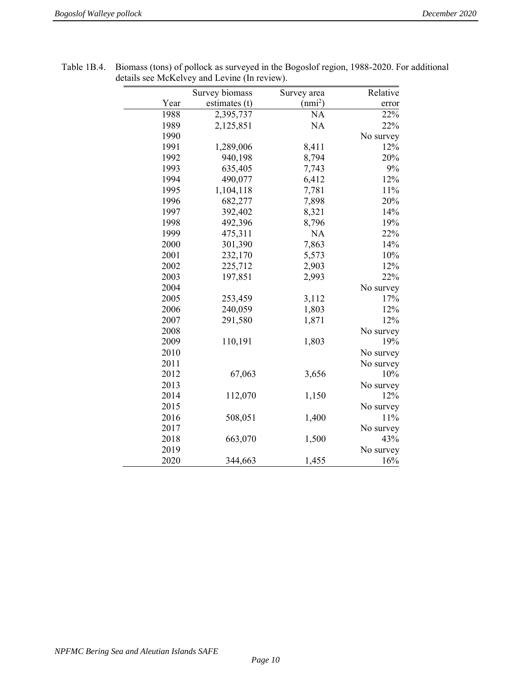|      | Survey biomass | Survey area | Relative  |
|------|----------------|-------------|-----------|
| Year | estimates (t)  | $(nmi^2)$   | error     |
| 1988 | 2,395,737      | <b>NA</b>   | 22%       |
| 1989 | 2,125,851      | NA          | 22%       |
| 1990 |                |             | No survey |
| 1991 | 1,289,006      | 8,411       | 12%       |
| 1992 | 940,198        | 8,794       | 20%       |
| 1993 | 635,405        | 7,743       | 9%        |
| 1994 | 490,077        | 6,412       | 12%       |
| 1995 | 1,104,118      | 7,781       | 11%       |
| 1996 | 682,277        | 7,898       | 20%       |
| 1997 | 392,402        | 8,321       | 14%       |
| 1998 | 492,396        | 8,796       | 19%       |
| 1999 | 475,311        | <b>NA</b>   | 22%       |
| 2000 | 301,390        | 7,863       | 14%       |
| 2001 | 232,170        | 5,573       | 10%       |
| 2002 | 225,712        | 2,903       | 12%       |
| 2003 | 197,851        | 2,993       | 22%       |
| 2004 |                |             | No survey |
| 2005 | 253,459        | 3,112       | 17%       |
| 2006 | 240,059        | 1,803       | 12%       |
| 2007 | 291,580        | 1,871       | 12%       |
| 2008 |                |             | No survey |
| 2009 | 110,191        | 1,803       | 19%       |
| 2010 |                |             | No survey |
| 2011 |                |             | No survey |
| 2012 | 67,063         | 3,656       | 10%       |
| 2013 |                |             | No survey |
| 2014 | 112,070        | 1,150       | 12%       |
| 2015 |                |             | No survey |
| 2016 | 508,051        | 1,400       | 11%       |
| 2017 |                |             | No survey |
| 2018 | 663,070        | 1,500       | 43%       |
| 2019 |                |             | No survey |
| 2020 | 344,663        | 1,455       | 16%       |

Table 1B.4. Biomass (tons) of pollock as surveyed in the Bogoslof region, 1988-2020. For additional details see McKelvey and Levine (In review).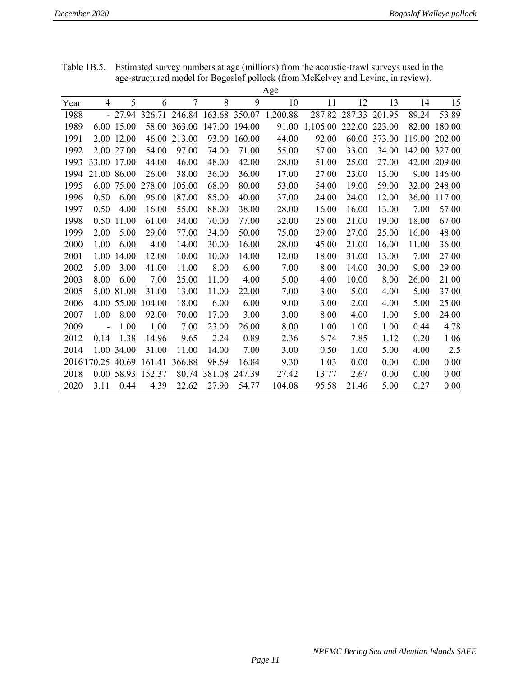|      |                   |             |        |                |                     |               | Age      |          |        |        |        |        |
|------|-------------------|-------------|--------|----------------|---------------------|---------------|----------|----------|--------|--------|--------|--------|
| Year | $\overline{4}$    | 5           | 6      | $\overline{7}$ | 8                   | 9             | 10       | 11       | 12     | 13     | 14     | 15     |
| 1988 |                   | $-27.94$    | 326.71 | 246.84         |                     | 163.68 350.07 | 1,200.88 | 287.82   | 287.33 | 201.95 | 89.24  | 53.89  |
| 1989 |                   | 6.00 15.00  | 58.00  | 363.00         | 147.00 194.00       |               | 91.00    | 1,105.00 | 222.00 | 223.00 | 82.00  | 180.00 |
| 1991 | 2.00              | 12.00       | 46.00  | 213.00         | 93.00               | 160.00        | 44.00    | 92.00    | 60.00  | 373.00 | 119.00 | 202.00 |
| 1992 |                   | 2.00 27.00  | 54.00  | 97.00          | 74.00               | 71.00         | 55.00    | 57.00    | 33.00  | 34.00  | 142.00 | 327.00 |
| 1993 |                   | 33.00 17.00 | 44.00  | 46.00          | 48.00               | 42.00         | 28.00    | 51.00    | 25.00  | 27.00  | 42.00  | 209.00 |
| 1994 |                   | 21.00 86.00 | 26.00  | 38.00          | 36.00               | 36.00         | 17.00    | 27.00    | 23.00  | 13.00  | 9.00   | 146.00 |
| 1995 | 6.00              | 75.00       | 278.00 | 105.00         | 68.00               | 80.00         | 53.00    | 54.00    | 19.00  | 59.00  | 32.00  | 248.00 |
| 1996 | 0.50              | 6.00        | 96.00  | 187.00         | 85.00               | 40.00         | 37.00    | 24.00    | 24.00  | 12.00  | 36.00  | 117.00 |
| 1997 | 0.50              | 4.00        | 16.00  | 55.00          | 88.00               | 38.00         | 28.00    | 16.00    | 16.00  | 13.00  | 7.00   | 57.00  |
| 1998 | 0.50              | 11.00       | 61.00  | 34.00          | 70.00               | 77.00         | 32.00    | 25.00    | 21.00  | 19.00  | 18.00  | 67.00  |
| 1999 | 2.00              | 5.00        | 29.00  | 77.00          | 34.00               | 50.00         | 75.00    | 29.00    | 27.00  | 25.00  | 16.00  | 48.00  |
| 2000 | 1.00              | 6.00        | 4.00   | 14.00          | 30.00               | 16.00         | 28.00    | 45.00    | 21.00  | 16.00  | 11.00  | 36.00  |
| 2001 | 1.00              | 14.00       | 12.00  | 10.00          | 10.00               | 14.00         | 12.00    | 18.00    | 31.00  | 13.00  | 7.00   | 27.00  |
| 2002 | 5.00              | 3.00        | 41.00  | 11.00          | 8.00                | 6.00          | 7.00     | 8.00     | 14.00  | 30.00  | 9.00   | 29.00  |
| 2003 | 8.00              | 6.00        | 7.00   | 25.00          | 11.00               | 4.00          | 5.00     | 4.00     | 10.00  | 8.00   | 26.00  | 21.00  |
| 2005 | 5.00              | 81.00       | 31.00  | 13.00          | 11.00               | 22.00         | 7.00     | 3.00     | 5.00   | 4.00   | 5.00   | 37.00  |
| 2006 | 4.00              | 55.00       | 104.00 | 18.00          | 6.00                | 6.00          | 9.00     | 3.00     | 2.00   | 4.00   | 5.00   | 25.00  |
| 2007 | 1.00              | 8.00        | 92.00  | 70.00          | 17.00               | 3.00          | 3.00     | 8.00     | 4.00   | 1.00   | 5.00   | 24.00  |
| 2009 | $\overline{a}$    | 1.00        | 1.00   | 7.00           | 23.00               | 26.00         | 8.00     | 1.00     | 1.00   | 1.00   | 0.44   | 4.78   |
| 2012 | 0.14              | 1.38        | 14.96  | 9.65           | 2.24                | 0.89          | 2.36     | 6.74     | 7.85   | 1.12   | 0.20   | 1.06   |
| 2014 |                   | 1.00 34.00  | 31.00  | 11.00          | 14.00               | 7.00          | 3.00     | 0.50     | 1.00   | 5.00   | 4.00   | 2.5    |
|      | 2016 170.25 40.69 |             | 161.41 | 366.88         | 98.69               | 16.84         | 9.30     | 1.03     | 0.00   | 0.00   | 0.00   | 0.00   |
| 2018 |                   | 0.00 58.93  | 152.37 |                | 80.74 381.08 247.39 |               | 27.42    | 13.77    | 2.67   | 0.00   | 0.00   | 0.00   |
| 2020 | 3.11              | 0.44        | 4.39   | 22.62          | 27.90               | 54.77         | 104.08   | 95.58    | 21.46  | 5.00   | 0.27   | 0.00   |

Table 1B.5. Estimated survey numbers at age (millions) from the acoustic-trawl surveys used in the age-structured model for Bogoslof pollock (from McKelvey and Levine, in review).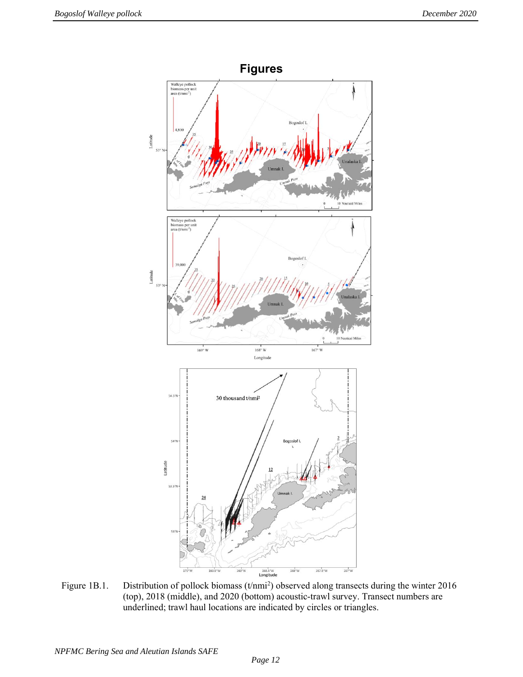

Figure 1B.1. Distribution of pollock biomass (t/nmi<sup>2</sup>) observed along transects during the winter 2016 (top), 2018 (middle), and 2020 (bottom) acoustic-trawl survey. Transect numbers are underlined; trawl haul locations are indicated by circles or triangles.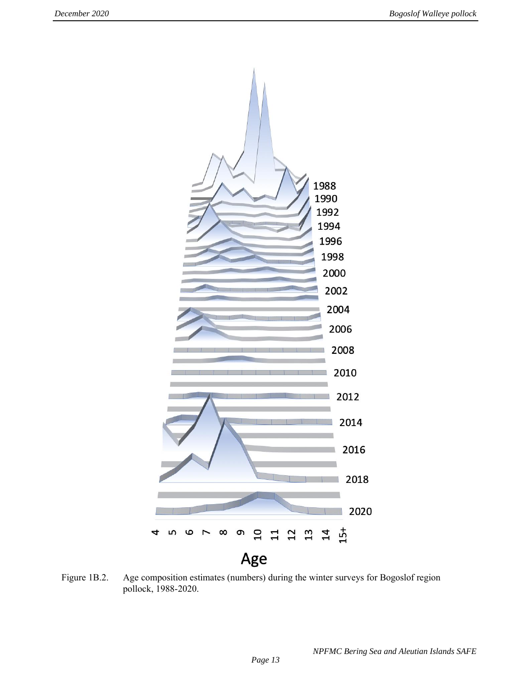

Figure 1B.2. Age composition estimates (numbers) during the winter surveys for Bogoslof region pollock, 1988-2020.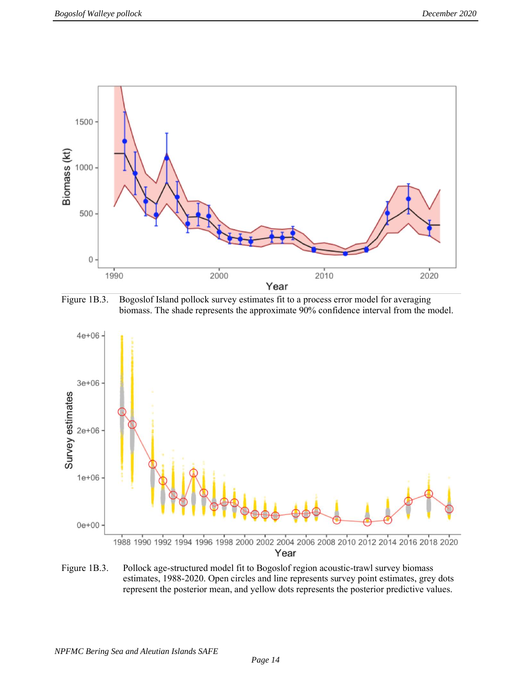

Figure 1B.3. Bogoslof Island pollock survey estimates fit to a process error model for averaging biomass. The shade represents the approximate 90% confidence interval from the model.



Figure 1B.3. Pollock age-structured model fit to Bogoslof region acoustic-trawl survey biomass estimates, 1988-2020. Open circles and line represents survey point estimates, grey dots represent the posterior mean, and yellow dots represents the posterior predictive values.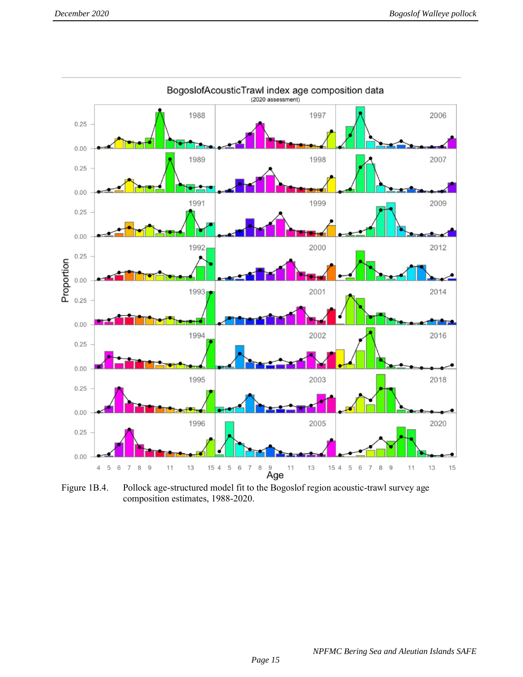

Figure 1B.4. Pollock age-structured model fit to the Bogoslof region acoustic-trawl survey age composition estimates, 1988-2020.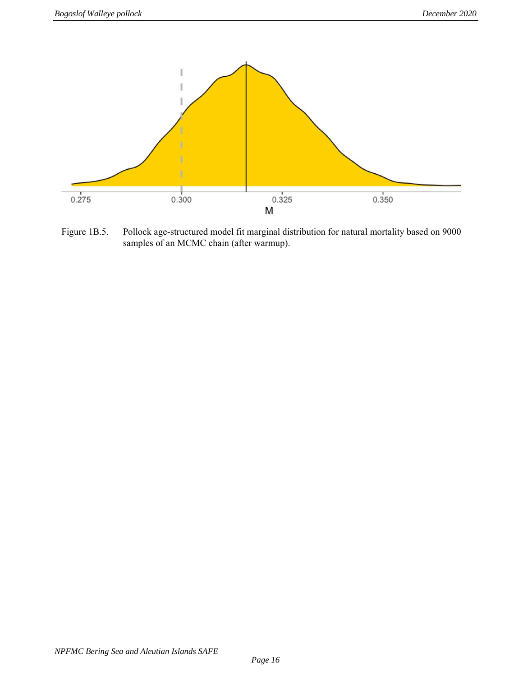

Figure 1B.5. Pollock age-structured model fit marginal distribution for natural mortality based on 9000 samples of an MCMC chain (after warmup).